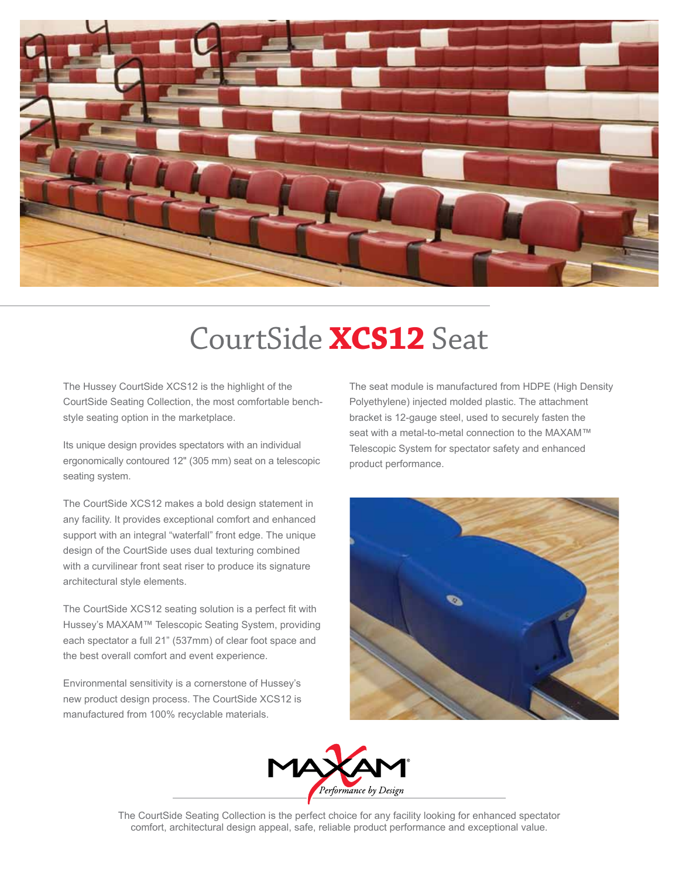

# CourtSide **XCS12** Seat

The Hussey CourtSide XCS12 is the highlight of the CourtSide Seating Collection, the most comfortable benchstyle seating option in the marketplace.

Its unique design provides spectators with an individual ergonomically contoured 12" (305 mm) seat on a telescopic seating system.

The CourtSide XCS12 makes a bold design statement in any facility. It provides exceptional comfort and enhanced support with an integral "waterfall" front edge. The unique design of the CourtSide uses dual texturing combined with a curvilinear front seat riser to produce its signature architectural style elements.

The CourtSide XCS12 seating solution is a perfect fit with Hussey's MAXAM™ Telescopic Seating System, providing each spectator a full 21" (537mm) of clear foot space and the best overall comfort and event experience.

Environmental sensitivity is a cornerstone of Hussey's new product design process. The CourtSide XCS12 is manufactured from 100% recyclable materials.

The seat module is manufactured from HDPE (High Density Polyethylene) injected molded plastic. The attachment bracket is 12-gauge steel, used to securely fasten the seat with a metal-to-metal connection to the MAXAM™ Telescopic System for spectator safety and enhanced product performance.





The CourtSide Seating Collection is the perfect choice for any facility looking for enhanced spectator comfort, architectural design appeal, safe, reliable product performance and exceptional value.